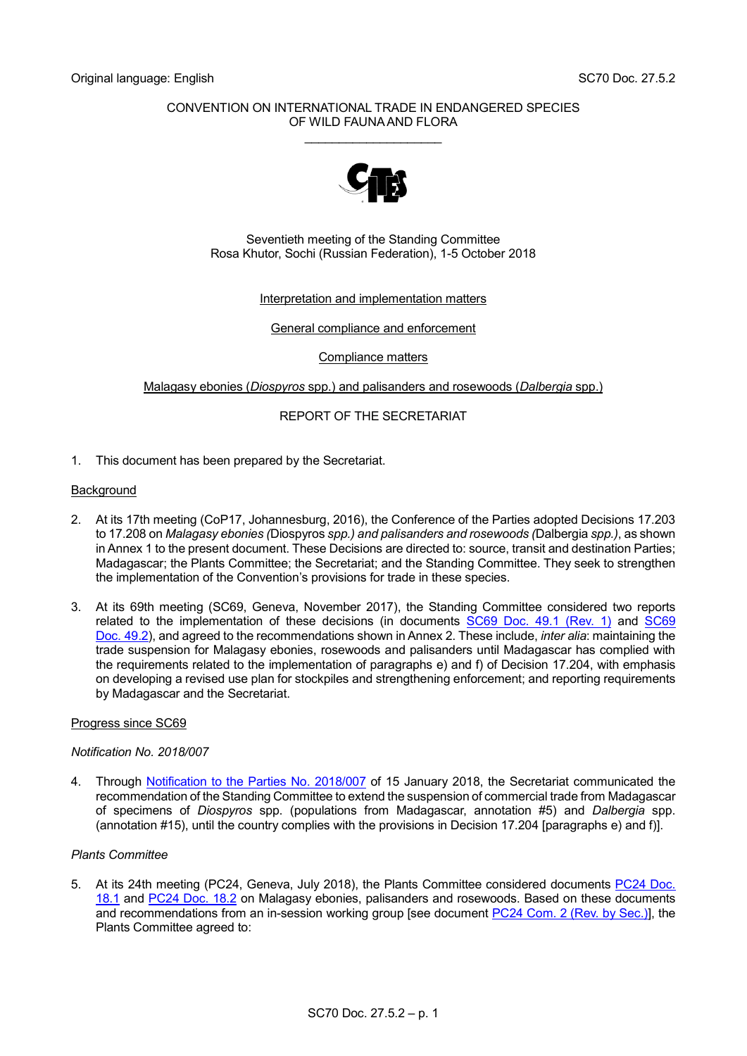## CONVENTION ON INTERNATIONAL TRADE IN ENDANGERED SPECIES OF WILD FAUNA AND FLORA \_\_\_\_\_\_\_\_\_\_\_\_\_\_\_\_\_\_\_\_



Seventieth meeting of the Standing Committee Rosa Khutor, Sochi (Russian Federation), 1-5 October 2018

Interpretation and implementation matters

General compliance and enforcement

Compliance matters

Malagasy ebonies (*Diospyros* spp.) and palisanders and rosewoods (*Dalbergia* spp.)

# REPORT OF THE SECRETARIAT

1. This document has been prepared by the Secretariat.

## **Background**

- 2. At its 17th meeting (CoP17, Johannesburg, 2016), the Conference of the Parties adopted Decisions 17.203 to 17.208 on *Malagasy ebonies (*Diospyros *spp.) and palisanders and rosewoods (*Dalbergia *spp.)*, as shown in Annex 1 to the present document. These Decisions are directed to: source, transit and destination Parties; Madagascar; the Plants Committee; the Secretariat; and the Standing Committee. They seek to strengthen the implementation of the Convention's provisions for trade in these species.
- 3. At its 69th meeting (SC69, Geneva, November 2017), the Standing Committee considered two reports related to the implementation of these decisions (in documents [SC69 Doc. 49.1 \(Rev. 1\)](https://cites.org/sites/default/files/eng/com/sc/69/E-SC69-49-01-R1.pdf) and [SC69](https://cites.org/sites/default/files/eng/com/sc/69/E-SC69-49-02.pdf)  Doc. [49.2\)](https://cites.org/sites/default/files/eng/com/sc/69/E-SC69-49-02.pdf), and agreed to the recommendations shown in Annex 2. These include, *inter alia*: maintaining the trade suspension for Malagasy ebonies, rosewoods and palisanders until Madagascar has complied with the requirements related to the implementation of paragraphs e) and f) of Decision 17.204, with emphasis on developing a revised use plan for stockpiles and strengthening enforcement; and reporting requirements by Madagascar and the Secretariat.

## Progress since SC69

## *Notification No. 2018/007*

4. Through [Notification to the Parties No. 2018/007](https://www.cites.org/sites/default/files/notif/E-Notif-2018-007.pdf) of 15 January 2018, the Secretariat communicated the recommendation of the Standing Committee to extend the suspension of commercial trade from Madagascar of specimens of *Diospyros* spp. (populations from Madagascar, annotation #5) and *Dalbergia* spp. (annotation #15), until the country complies with the provisions in Decision 17.204 [paragraphs e) and f)].

## *Plants Committee*

5. At its 24th meeting (PC24, Geneva, July 2018), the Plants Committee considered documents [PC24 Doc.](https://cites.org/sites/dfault/files/eng/com/pc/24/E-PC24-18-01.pdf)  [18.1](https://cites.org/sites/dfault/files/eng/com/pc/24/E-PC24-18-01.pdf) and [PC24 Doc. 18.2](https://cites.org/sites/default/files/eng/com/pc/24/E-PC24-18-02.pdf) on Malagasy ebonies, palisanders and rosewoods. Based on these documents and recommendations from an in-session working group [see document PC24 [Com. 2 \(Rev. by Sec.\)\]](https://cites.org/sites/default/files/eng/com/pc/24/com/E-PC24-Com-02-R.pdf), the Plants Committee agreed to: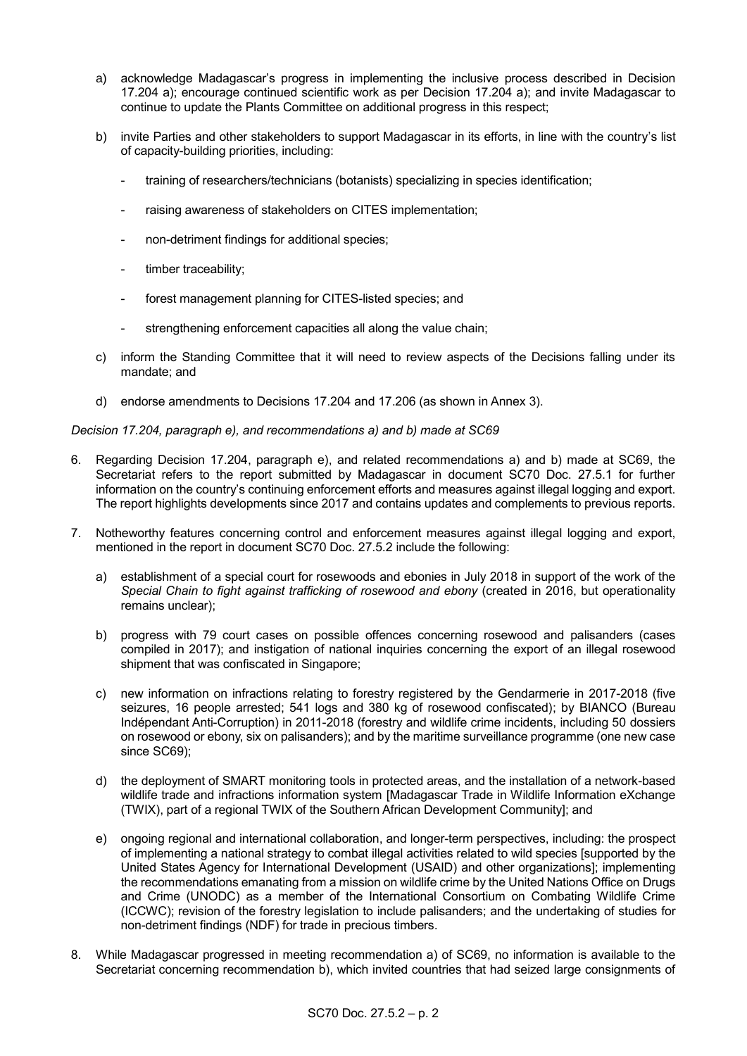- a) acknowledge Madagascar's progress in implementing the inclusive process described in Decision 17.204 a); encourage continued scientific work as per Decision 17.204 a); and invite Madagascar to continue to update the Plants Committee on additional progress in this respect;
- b) invite Parties and other stakeholders to support Madagascar in its efforts, in line with the country's list of capacity-building priorities, including:
	- training of researchers/technicians (botanists) specializing in species identification;
	- raising awareness of stakeholders on CITES implementation;
	- non-detriment findings for additional species;
	- timber traceability;
	- forest management planning for CITES-listed species; and
	- strengthening enforcement capacities all along the value chain;
- c) inform the Standing Committee that it will need to review aspects of the Decisions falling under its mandate; and
- d) endorse amendments to Decisions 17.204 and 17.206 (as shown in Annex 3).

## *Decision 17.204, paragraph e), and recommendations a) and b) made at SC69*

- 6. Regarding Decision 17.204, paragraph e), and related recommendations a) and b) made at SC69, the Secretariat refers to the report submitted by Madagascar in document SC70 Doc. 27.5.1 for further information on the country's continuing enforcement efforts and measures against illegal logging and export. The report highlights developments since 2017 and contains updates and complements to previous reports.
- 7. Notheworthy features concerning control and enforcement measures against illegal logging and export, mentioned in the report in document SC70 Doc. 27.5.2 include the following:
	- a) establishment of a special court for rosewoods and ebonies in July 2018 in support of the work of the *Special Chain to fight against trafficking of rosewood and ebony* (created in 2016, but operationality remains unclear);
	- b) progress with 79 court cases on possible offences concerning rosewood and palisanders (cases compiled in 2017); and instigation of national inquiries concerning the export of an illegal rosewood shipment that was confiscated in Singapore;
	- c) new information on infractions relating to forestry registered by the Gendarmerie in 2017-2018 (five seizures, 16 people arrested; 541 logs and 380 kg of rosewood confiscated); by BIANCO (Bureau Indépendant Anti-Corruption) in 2011-2018 (forestry and wildlife crime incidents, including 50 dossiers on rosewood or ebony, six on palisanders); and by the maritime surveillance programme (one new case since SC69);
	- d) the deployment of SMART monitoring tools in protected areas, and the installation of a network-based wildlife trade and infractions information system [Madagascar Trade in Wildlife Information eXchange (TWIX), part of a regional TWIX of the Southern African Development Community]; and
	- e) ongoing regional and international collaboration, and longer-term perspectives, including: the prospect of implementing a national strategy to combat illegal activities related to wild species [supported by the United States Agency for International Development (USAID) and other organizations]; implementing the recommendations emanating from a mission on wildlife crime by the United Nations Office on Drugs and Crime (UNODC) as a member of the International Consortium on Combating Wildlife Crime (ICCWC); revision of the forestry legislation to include palisanders; and the undertaking of studies for non-detriment findings (NDF) for trade in precious timbers.
- 8. While Madagascar progressed in meeting recommendation a) of SC69, no information is available to the Secretariat concerning recommendation b), which invited countries that had seized large consignments of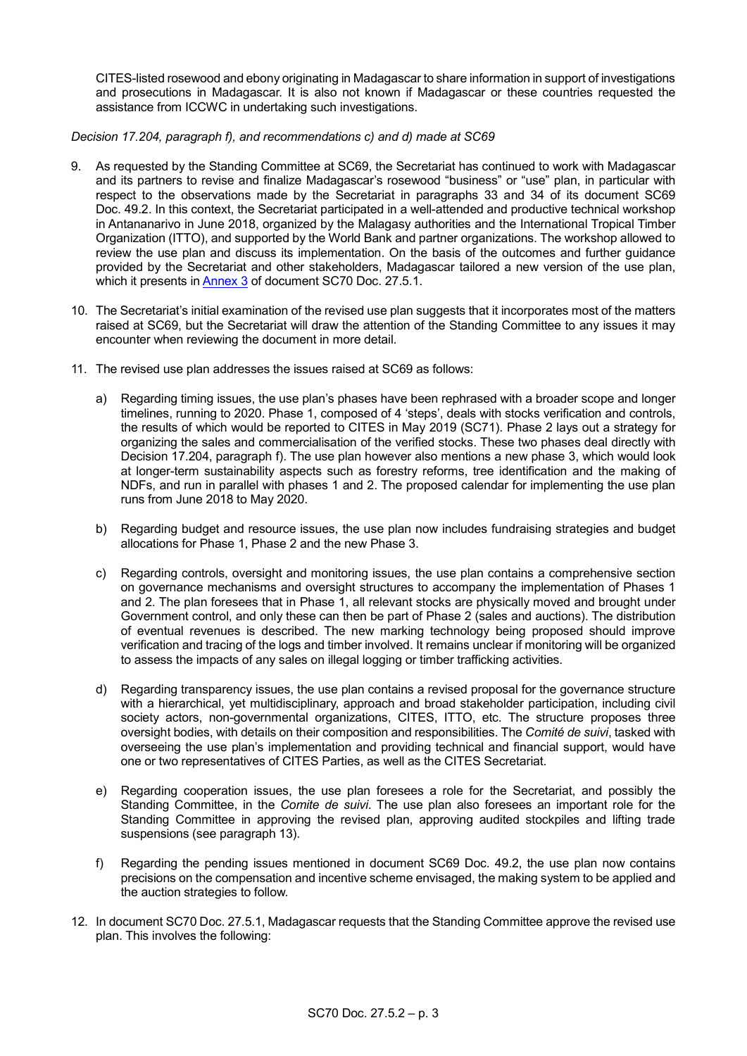CITES-listed rosewood and ebony originating in Madagascar to share information in support of investigations and prosecutions in Madagascar. It is also not known if Madagascar or these countries requested the assistance from ICCWC in undertaking such investigations.

*Decision 17.204, paragraph f), and recommendations c) and d) made at SC69*

- 9. As requested by the Standing Committee at SC69, the Secretariat has continued to work with Madagascar and its partners to revise and finalize Madagascar's rosewood "business" or "use" plan, in particular with respect to the observations made by the Secretariat in paragraphs 33 and 34 of its document SC69 Doc. 49.2. In this context, the Secretariat participated in a well-attended and productive technical workshop in Antananarivo in June 2018, organized by the Malagasy authorities and the International Tropical Timber Organization (ITTO), and supported by the World Bank and partner organizations. The workshop allowed to review the use plan and discuss its implementation. On the basis of the outcomes and further guidance provided by the Secretariat and other stakeholders, Madagascar tailored a new version of the use plan, which it presents i[n Annex 3](https://cites.org/sites/default/files/fra/com/sc/70/F-SC70-27-05-01-A3.pdf) of document SC70 Doc. 27.5.1.
- 10. The Secretariat's initial examination of the revised use plan suggests that it incorporates most of the matters raised at SC69, but the Secretariat will draw the attention of the Standing Committee to any issues it may encounter when reviewing the document in more detail.
- 11. The revised use plan addresses the issues raised at SC69 as follows:
	- a) Regarding timing issues, the use plan's phases have been rephrased with a broader scope and longer timelines, running to 2020. Phase 1, composed of 4 'steps', deals with stocks verification and controls, the results of which would be reported to CITES in May 2019 (SC71). Phase 2 lays out a strategy for organizing the sales and commercialisation of the verified stocks. These two phases deal directly with Decision 17.204, paragraph f). The use plan however also mentions a new phase 3, which would look at longer-term sustainability aspects such as forestry reforms, tree identification and the making of NDFs, and run in parallel with phases 1 and 2. The proposed calendar for implementing the use plan runs from June 2018 to May 2020.
	- b) Regarding budget and resource issues, the use plan now includes fundraising strategies and budget allocations for Phase 1, Phase 2 and the new Phase 3.
	- c) Regarding controls, oversight and monitoring issues, the use plan contains a comprehensive section on governance mechanisms and oversight structures to accompany the implementation of Phases 1 and 2. The plan foresees that in Phase 1, all relevant stocks are physically moved and brought under Government control, and only these can then be part of Phase 2 (sales and auctions). The distribution of eventual revenues is described. The new marking technology being proposed should improve verification and tracing of the logs and timber involved. It remains unclear if monitoring will be organized to assess the impacts of any sales on illegal logging or timber trafficking activities.
	- d) Regarding transparency issues, the use plan contains a revised proposal for the governance structure with a hierarchical, yet multidisciplinary, approach and broad stakeholder participation, including civil society actors, non-governmental organizations, CITES, ITTO, etc. The structure proposes three oversight bodies, with details on their composition and responsibilities. The *Comité de suivi*, tasked with overseeing the use plan's implementation and providing technical and financial support, would have one or two representatives of CITES Parties, as well as the CITES Secretariat.
	- e) Regarding cooperation issues, the use plan foresees a role for the Secretariat, and possibly the Standing Committee, in the *Comite de suivi*. The use plan also foresees an important role for the Standing Committee in approving the revised plan, approving audited stockpiles and lifting trade suspensions (see paragraph 13).
	- f) Regarding the pending issues mentioned in document SC69 Doc. 49.2, the use plan now contains precisions on the compensation and incentive scheme envisaged, the making system to be applied and the auction strategies to follow.
- 12. In document SC70 Doc. 27.5.1, Madagascar requests that the Standing Committee approve the revised use plan. This involves the following: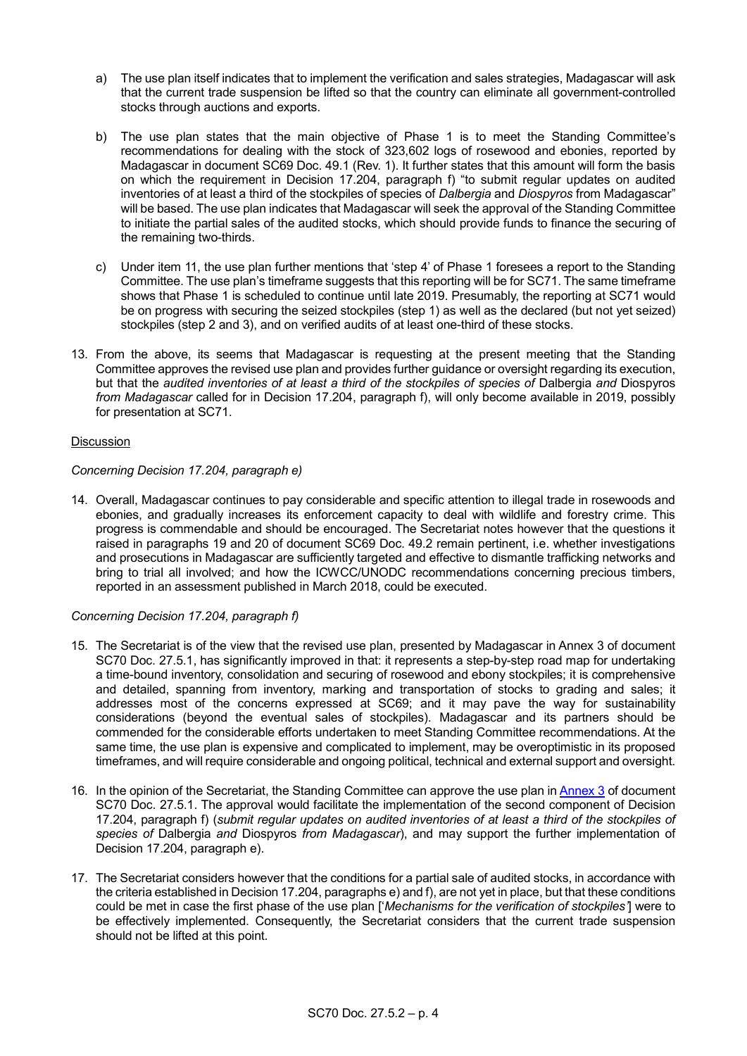- a) The use plan itself indicates that to implement the verification and sales strategies, Madagascar will ask that the current trade suspension be lifted so that the country can eliminate all government-controlled stocks through auctions and exports.
- b) The use plan states that the main objective of Phase 1 is to meet the Standing Committee's recommendations for dealing with the stock of 323,602 logs of rosewood and ebonies, reported by Madagascar in document SC69 Doc. 49.1 (Rev. 1). It further states that this amount will form the basis on which the requirement in Decision 17.204, paragraph f) "to submit regular updates on audited inventories of at least a third of the stockpiles of species of *Dalbergia* and *Diospyros* from Madagascar" will be based. The use plan indicates that Madagascar will seek the approval of the Standing Committee to initiate the partial sales of the audited stocks, which should provide funds to finance the securing of the remaining two-thirds.
- c) Under item 11, the use plan further mentions that 'step 4' of Phase 1 foresees a report to the Standing Committee. The use plan's timeframe suggests that this reporting will be for SC71. The same timeframe shows that Phase 1 is scheduled to continue until late 2019. Presumably, the reporting at SC71 would be on progress with securing the seized stockpiles (step 1) as well as the declared (but not yet seized) stockpiles (step 2 and 3), and on verified audits of at least one-third of these stocks.
- 13. From the above, its seems that Madagascar is requesting at the present meeting that the Standing Committee approves the revised use plan and provides further guidance or oversight regarding its execution, but that the *audited inventories of at least a third of the stockpiles of species of* Dalbergia *and* Diospyros *from Madagascar* called for in Decision 17.204, paragraph f), will only become available in 2019, possibly for presentation at SC71.

## **Discussion**

## *Concerning Decision 17.204, paragraph e)*

14. Overall, Madagascar continues to pay considerable and specific attention to illegal trade in rosewoods and ebonies, and gradually increases its enforcement capacity to deal with wildlife and forestry crime. This progress is commendable and should be encouraged. The Secretariat notes however that the questions it raised in paragraphs 19 and 20 of document SC69 Doc. 49.2 remain pertinent, i.e. whether investigations and prosecutions in Madagascar are sufficiently targeted and effective to dismantle trafficking networks and bring to trial all involved; and how the ICWCC/UNODC recommendations concerning precious timbers, reported in an assessment published in March 2018, could be executed.

## *Concerning Decision 17.204, paragraph f)*

- 15. The Secretariat is of the view that the revised use plan, presented by Madagascar in Annex 3 of document SC70 Doc. 27.5.1, has significantly improved in that: it represents a step-by-step road map for undertaking a time-bound inventory, consolidation and securing of rosewood and ebony stockpiles; it is comprehensive and detailed, spanning from inventory, marking and transportation of stocks to grading and sales; it addresses most of the concerns expressed at SC69; and it may pave the way for sustainability considerations (beyond the eventual sales of stockpiles). Madagascar and its partners should be commended for the considerable efforts undertaken to meet Standing Committee recommendations. At the same time, the use plan is expensive and complicated to implement, may be overoptimistic in its proposed timeframes, and will require considerable and ongoing political, technical and external support and oversight.
- 16. In the opinion of the Secretariat, the Standing Committee can approve the use plan i[n Annex 3](https://cites.org/sites/default/files/fra/com/sc/70/F-SC70-27-05-01-A3.pdf) of document SC70 Doc. 27.5.1. The approval would facilitate the implementation of the second component of Decision 17.204, paragraph f) (*submit regular updates on audited inventories of at least a third of the stockpiles of species of* Dalbergia *and* Diospyros *from Madagascar*), and may support the further implementation of Decision 17.204, paragraph e).
- 17. The Secretariat considers however that the conditions for a partial sale of audited stocks, in accordance with the criteria established in Decision 17.204, paragraphs e) and f), are not yet in place, but that these conditions could be met in case the first phase of the use plan ['*Mechanisms for the verification of stockpiles'*] were to be effectively implemented. Consequently, the Secretariat considers that the current trade suspension should not be lifted at this point.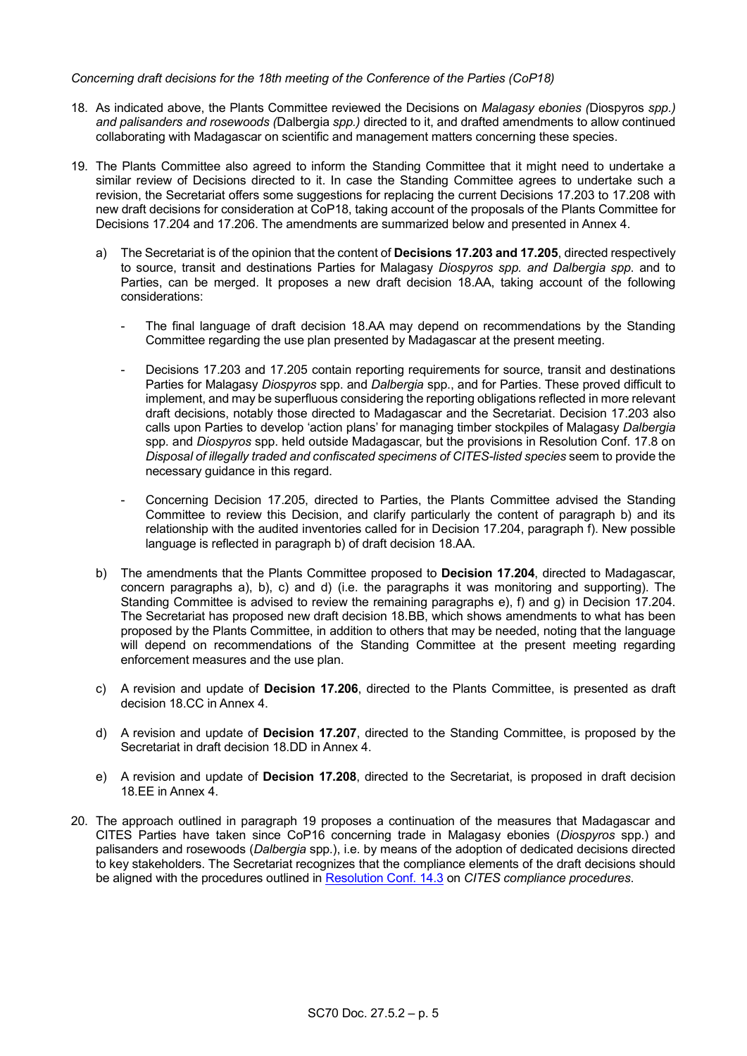## *Concerning draft decisions for the 18th meeting of the Conference of the Parties (CoP18)*

- 18. As indicated above, the Plants Committee reviewed the Decisions on *Malagasy ebonies (*Diospyros *spp.) and palisanders and rosewoods (*Dalbergia *spp.)* directed to it, and drafted amendments to allow continued collaborating with Madagascar on scientific and management matters concerning these species.
- 19. The Plants Committee also agreed to inform the Standing Committee that it might need to undertake a similar review of Decisions directed to it. In case the Standing Committee agrees to undertake such a revision, the Secretariat offers some suggestions for replacing the current Decisions 17.203 to 17.208 with new draft decisions for consideration at CoP18, taking account of the proposals of the Plants Committee for Decisions 17.204 and 17.206. The amendments are summarized below and presented in Annex 4.
	- a) The Secretariat is of the opinion that the content of **Decisions 17.203 and 17.205**, directed respectively to source, transit and destinations Parties for Malagasy *Diospyros spp. and Dalbergia spp*. and to Parties, can be merged. It proposes a new draft decision 18.AA, taking account of the following considerations:
		- The final language of draft decision 18.AA may depend on recommendations by the Standing Committee regarding the use plan presented by Madagascar at the present meeting.
		- Decisions 17.203 and 17.205 contain reporting requirements for source, transit and destinations Parties for Malagasy *Diospyros* spp. and *Dalbergia* spp., and for Parties. These proved difficult to implement, and may be superfluous considering the reporting obligations reflected in more relevant draft decisions, notably those directed to Madagascar and the Secretariat. Decision 17.203 also calls upon Parties to develop 'action plans' for managing timber stockpiles of Malagasy *Dalbergia* spp. and *Diospyros* spp. held outside Madagascar, but the provisions in Resolution Conf. 17.8 on *Disposal of illegally traded and confiscated specimens of CITES-listed species* seem to provide the necessary guidance in this regard.
		- Concerning Decision 17.205, directed to Parties, the Plants Committee advised the Standing Committee to review this Decision, and clarify particularly the content of paragraph b) and its relationship with the audited inventories called for in Decision 17.204, paragraph f). New possible language is reflected in paragraph b) of draft decision 18.AA.
	- b) The amendments that the Plants Committee proposed to **Decision 17.204**, directed to Madagascar, concern paragraphs a), b), c) and d) (i.e. the paragraphs it was monitoring and supporting). The Standing Committee is advised to review the remaining paragraphs e), f) and g) in Decision 17.204. The Secretariat has proposed new draft decision 18.BB, which shows amendments to what has been proposed by the Plants Committee, in addition to others that may be needed, noting that the language will depend on recommendations of the Standing Committee at the present meeting regarding enforcement measures and the use plan.
	- c) A revision and update of **Decision 17.206**, directed to the Plants Committee, is presented as draft decision 18.CC in Annex 4.
	- d) A revision and update of **Decision 17.207**, directed to the Standing Committee, is proposed by the Secretariat in draft decision 18.DD in Annex 4.
	- e) A revision and update of **Decision 17.208**, directed to the Secretariat, is proposed in draft decision 18.EE in Annex 4.
- 20. The approach outlined in paragraph 19 proposes a continuation of the measures that Madagascar and CITES Parties have taken since CoP16 concerning trade in Malagasy ebonies (*Diospyros* spp.) and palisanders and rosewoods (*Dalbergia* spp.), i.e. by means of the adoption of dedicated decisions directed to key stakeholders. The Secretariat recognizes that the compliance elements of the draft decisions should be aligned with the procedures outlined in [Resolution Conf. 14.3](https://cites.org/sites/default/files/document/E-Res-14-03.pdf) on *CITES compliance procedures*.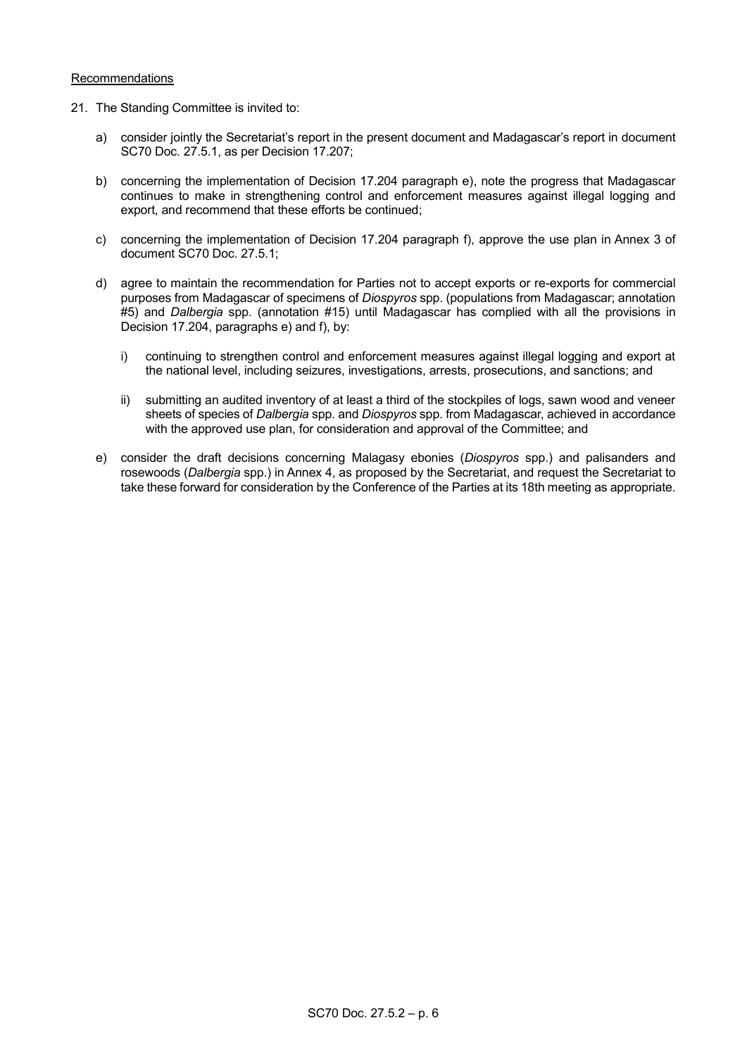## Recommendations

- 21. The Standing Committee is invited to:
	- a) consider jointly the Secretariat's report in the present document and Madagascar's report in document SC70 Doc. 27.5.1, as per Decision 17.207;
	- b) concerning the implementation of Decision 17.204 paragraph e), note the progress that Madagascar continues to make in strengthening control and enforcement measures against illegal logging and export, and recommend that these efforts be continued;
	- c) concerning the implementation of Decision 17.204 paragraph f), approve the use plan in Annex 3 of document SC70 Doc. 27.5.1;
	- d) agree to maintain the recommendation for Parties not to accept exports or re-exports for commercial purposes from Madagascar of specimens of *Diospyros* spp. (populations from Madagascar; annotation #5) and *Dalbergia* spp. (annotation #15) until Madagascar has complied with all the provisions in Decision 17.204, paragraphs e) and f), by:
		- i) continuing to strengthen control and enforcement measures against illegal logging and export at the national level, including seizures, investigations, arrests, prosecutions, and sanctions; and
		- ii) submitting an audited inventory of at least a third of the stockpiles of logs, sawn wood and veneer sheets of species of *Dalbergia* spp. and *Diospyros* spp. from Madagascar, achieved in accordance with the approved use plan, for consideration and approval of the Committee; and
	- e) consider the draft decisions concerning Malagasy ebonies (*Diospyros* spp.) and palisanders and rosewoods (*Dalbergia* spp.) in Annex 4, as proposed by the Secretariat, and request the Secretariat to take these forward for consideration by the Conference of the Parties at its 18th meeting as appropriate.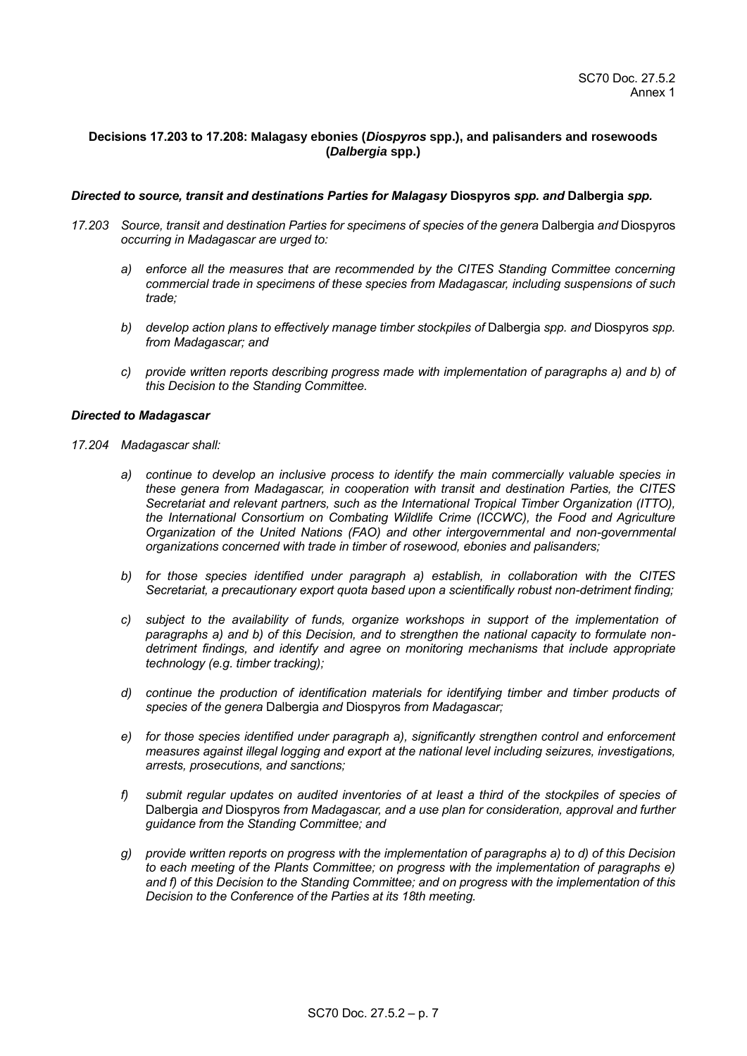## **Decisions 17.203 to 17.208: Malagasy ebonies (***Diospyros* **spp.), and palisanders and rosewoods (***Dalbergia* **spp.)**

#### *Directed to source, transit and destinations Parties for Malagasy* **Diospyros** *spp. and* **Dalbergia** *spp.*

- *17.203 Source, transit and destination Parties for specimens of species of the genera* Dalbergia *and* Diospyros *occurring in Madagascar are urged to:*
	- *a) enforce all the measures that are recommended by the CITES Standing Committee concerning commercial trade in specimens of these species from Madagascar, including suspensions of such trade;*
	- *b) develop action plans to effectively manage timber stockpiles of* Dalbergia *spp. and* Diospyros *spp. from Madagascar; and*
	- *c) provide written reports describing progress made with implementation of paragraphs a) and b) of this Decision to the Standing Committee.*

#### *Directed to Madagascar*

- *17.204 Madagascar shall:*
	- *a) continue to develop an inclusive process to identify the main commercially valuable species in these genera from Madagascar, in cooperation with transit and destination Parties, the CITES Secretariat and relevant partners, such as the International Tropical Timber Organization (ITTO), the International Consortium on Combating Wildlife Crime (ICCWC), the Food and Agriculture Organization of the United Nations (FAO) and other intergovernmental and non-governmental organizations concerned with trade in timber of rosewood, ebonies and palisanders;*
	- *b) for those species identified under paragraph a) establish, in collaboration with the CITES Secretariat, a precautionary export quota based upon a scientifically robust non-detriment finding;*
	- *c) subject to the availability of funds, organize workshops in support of the implementation of paragraphs a) and b) of this Decision, and to strengthen the national capacity to formulate nondetriment findings, and identify and agree on monitoring mechanisms that include appropriate technology (e.g. timber tracking);*
	- *d) continue the production of identification materials for identifying timber and timber products of species of the genera* Dalbergia *and* Diospyros *from Madagascar;*
	- *e) for those species identified under paragraph a), significantly strengthen control and enforcement measures against illegal logging and export at the national level including seizures, investigations, arrests, prosecutions, and sanctions;*
	- *f) submit regular updates on audited inventories of at least a third of the stockpiles of species of*  Dalbergia *and* Diospyros *from Madagascar, and a use plan for consideration, approval and further guidance from the Standing Committee; and*
	- *g) provide written reports on progress with the implementation of paragraphs a) to d) of this Decision to each meeting of the Plants Committee; on progress with the implementation of paragraphs e) and f) of this Decision to the Standing Committee; and on progress with the implementation of this Decision to the Conference of the Parties at its 18th meeting.*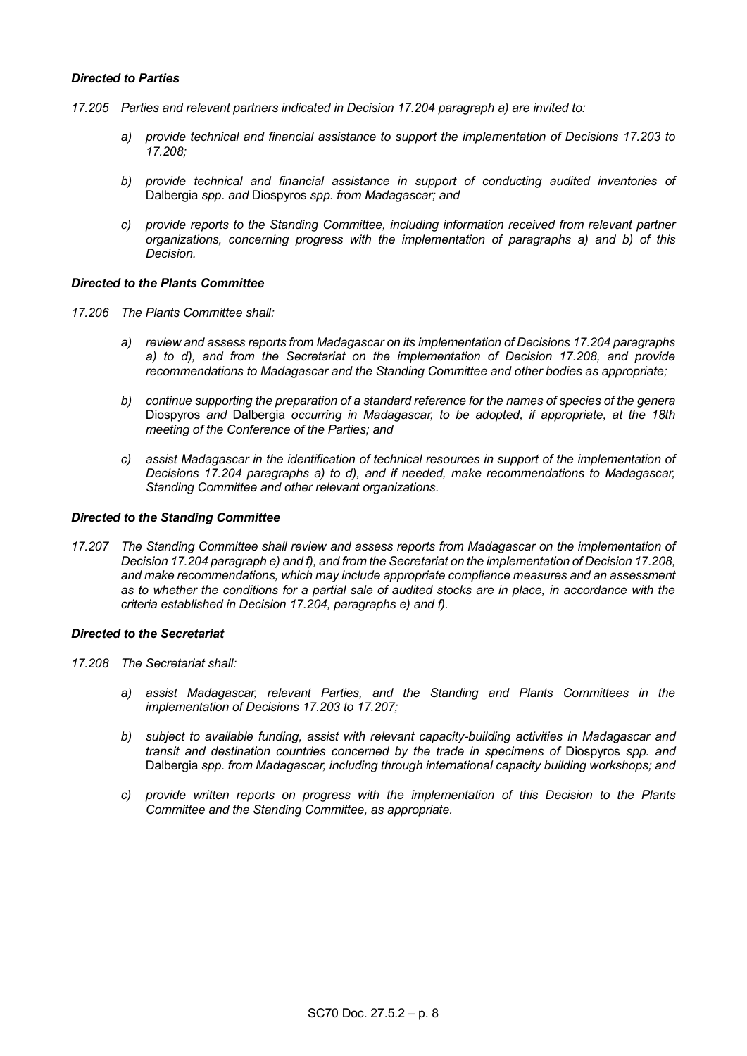## *Directed to Parties*

- *17.205 Parties and relevant partners indicated in Decision 17.204 paragraph a) are invited to:* 
	- *a) provide technical and financial assistance to support the implementation of Decisions 17.203 to 17.208;*
	- *b) provide technical and financial assistance in support of conducting audited inventories of*  Dalbergia *spp. and* Diospyros *spp. from Madagascar; and*
	- *c) provide reports to the Standing Committee, including information received from relevant partner organizations, concerning progress with the implementation of paragraphs a) and b) of this Decision.*

## *Directed to the Plants Committee*

- *17.206 The Plants Committee shall:*
	- *a) review and assess reports from Madagascar on its implementation of Decisions 17.204 paragraphs a) to d), and from the Secretariat on the implementation of Decision 17.208, and provide recommendations to Madagascar and the Standing Committee and other bodies as appropriate;*
	- *b) continue supporting the preparation of a standard reference for the names of species of the genera*  Diospyros *and* Dalbergia *occurring in Madagascar, to be adopted, if appropriate, at the 18th meeting of the Conference of the Parties; and*
	- *c) assist Madagascar in the identification of technical resources in support of the implementation of Decisions 17.204 paragraphs a) to d), and if needed, make recommendations to Madagascar, Standing Committee and other relevant organizations.*

#### *Directed to the Standing Committee*

*17.207 The Standing Committee shall review and assess reports from Madagascar on the implementation of Decision 17.204 paragraph e) and f), and from the Secretariat on the implementation of Decision 17.208, and make recommendations, which may include appropriate compliance measures and an assessment as to whether the conditions for a partial sale of audited stocks are in place, in accordance with the criteria established in Decision 17.204, paragraphs e) and f).*

## *Directed to the Secretariat*

- *17.208 The Secretariat shall:*
	- *a) assist Madagascar, relevant Parties, and the Standing and Plants Committees in the implementation of Decisions 17.203 to 17.207;*
	- *b) subject to available funding, assist with relevant capacity-building activities in Madagascar and transit and destination countries concerned by the trade in specimens of Diospyros spp. and* Dalbergia *spp. from Madagascar, including through international capacity building workshops; and*
	- *c) provide written reports on progress with the implementation of this Decision to the Plants Committee and the Standing Committee, as appropriate.*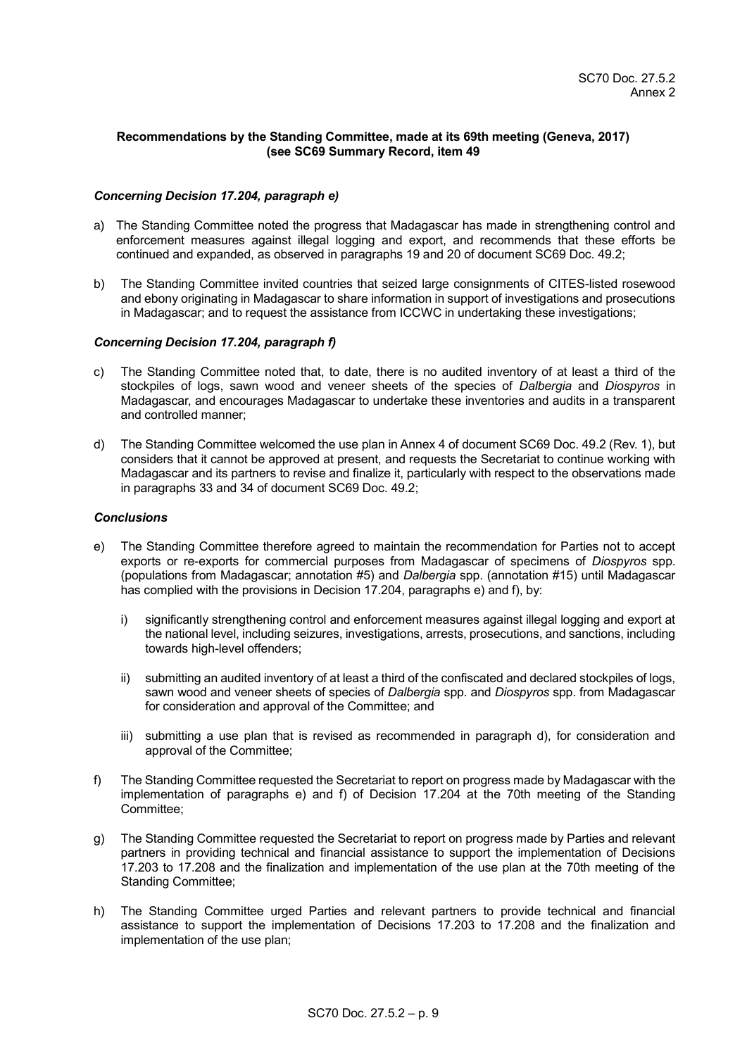## **Recommendations by the Standing Committee, made at its 69th meeting (Geneva, 2017) (see [SC69 Summary](https://cites.org/sites/default/files/eng/com/sc/69/sum/E-SC69-SR.pdf) Record, item 49**

## *Concerning Decision 17.204, paragraph e)*

- a) The Standing Committee noted the progress that Madagascar has made in strengthening control and enforcement measures against illegal logging and export, and recommends that these efforts be continued and expanded, as observed in paragraphs 19 and 20 of document SC69 Doc. 49.2;
- b) The Standing Committee invited countries that seized large consignments of CITES-listed rosewood and ebony originating in Madagascar to share information in support of investigations and prosecutions in Madagascar; and to request the assistance from ICCWC in undertaking these investigations;

## *Concerning Decision 17.204, paragraph f)*

- c) The Standing Committee noted that, to date, there is no audited inventory of at least a third of the stockpiles of logs, sawn wood and veneer sheets of the species of *Dalbergia* and *Diospyros* in Madagascar, and encourages Madagascar to undertake these inventories and audits in a transparent and controlled manner;
- d) The Standing Committee welcomed the use plan in Annex 4 of document SC69 Doc. 49.2 (Rev. 1), but considers that it cannot be approved at present, and requests the Secretariat to continue working with Madagascar and its partners to revise and finalize it, particularly with respect to the observations made in paragraphs 33 and 34 of document SC69 Doc. 49.2;

## *Conclusions*

- e) The Standing Committee therefore agreed to maintain the recommendation for Parties not to accept exports or re-exports for commercial purposes from Madagascar of specimens of *Diospyros* spp. (populations from Madagascar; annotation #5) and *Dalbergia* spp. (annotation #15) until Madagascar has complied with the provisions in Decision 17.204, paragraphs e) and f), by:
	- i) significantly strengthening control and enforcement measures against illegal logging and export at the national level, including seizures, investigations, arrests, prosecutions, and sanctions, including towards high-level offenders;
	- ii) submitting an audited inventory of at least a third of the confiscated and declared stockpiles of logs, sawn wood and veneer sheets of species of *Dalbergia* spp. and *Diospyros* spp. from Madagascar for consideration and approval of the Committee; and
	- iii) submitting a use plan that is revised as recommended in paragraph d), for consideration and approval of the Committee;
- f) The Standing Committee requested the Secretariat to report on progress made by Madagascar with the implementation of paragraphs e) and f) of Decision 17.204 at the 70th meeting of the Standing Committee;
- g) The Standing Committee requested the Secretariat to report on progress made by Parties and relevant partners in providing technical and financial assistance to support the implementation of Decisions 17.203 to 17.208 and the finalization and implementation of the use plan at the 70th meeting of the Standing Committee;
- h) The Standing Committee urged Parties and relevant partners to provide technical and financial assistance to support the implementation of Decisions 17.203 to 17.208 and the finalization and implementation of the use plan;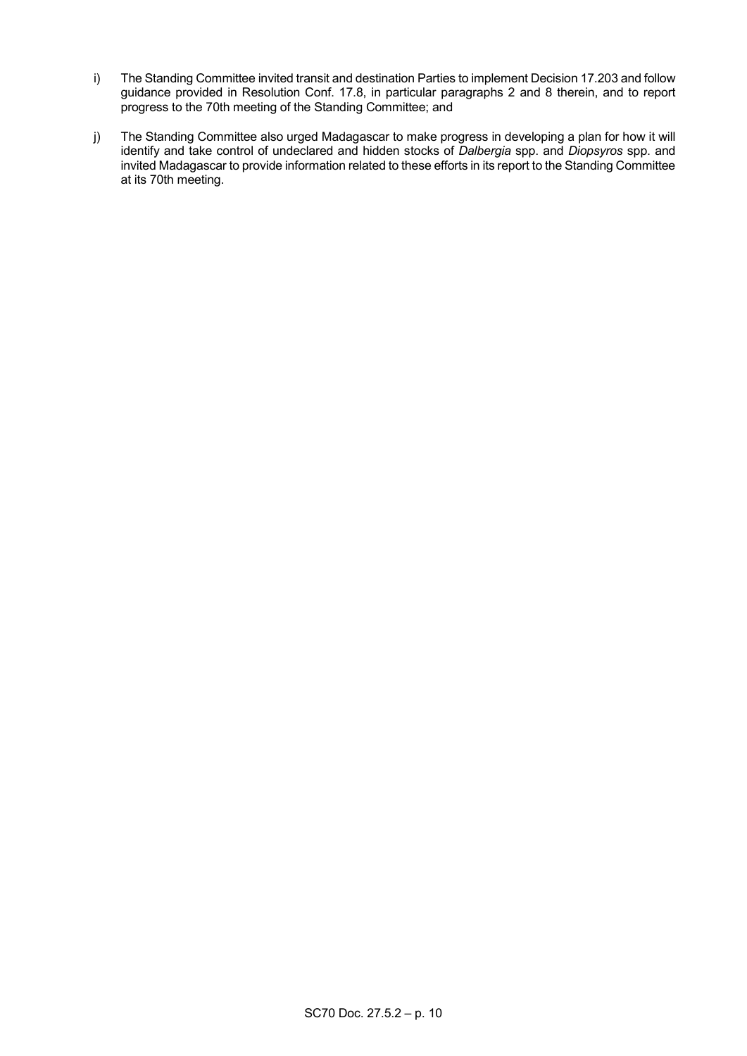- i) The Standing Committee invited transit and destination Parties to implement Decision 17.203 and follow guidance provided in Resolution Conf. 17.8, in particular paragraphs 2 and 8 therein, and to report progress to the 70th meeting of the Standing Committee; and
- j) The Standing Committee also urged Madagascar to make progress in developing a plan for how it will identify and take control of undeclared and hidden stocks of *Dalbergia* spp. and *Diopsyros* spp. and invited Madagascar to provide information related to these efforts in its report to the Standing Committee at its 70th meeting.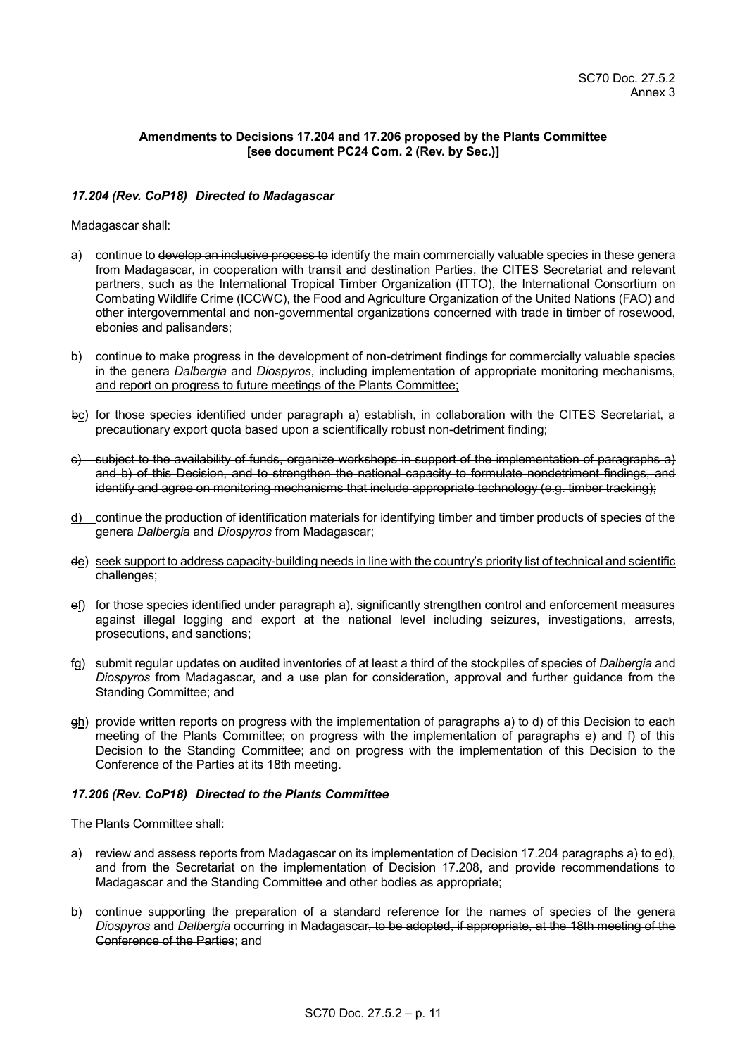## **Amendments to Decisions 17.204 and 17.206 proposed by the Plants Committee [see document [PC24 Com. 2 \(Rev. by Sec.\)\]](https://cites.org/sites/default/files/eng/com/pc/24/com/E-PC24-Com-02-R.pdf)**

## *17.204 (Rev. CoP18) Directed to Madagascar*

Madagascar shall:

- a) continue to develop an inclusive process to identify the main commercially valuable species in these genera from Madagascar, in cooperation with transit and destination Parties, the CITES Secretariat and relevant partners, such as the International Tropical Timber Organization (ITTO), the International Consortium on Combating Wildlife Crime (ICCWC), the Food and Agriculture Organization of the United Nations (FAO) and other intergovernmental and non-governmental organizations concerned with trade in timber of rosewood, ebonies and palisanders;
- b) continue to make progress in the development of non-detriment findings for commercially valuable species in the genera *Dalbergia* and *Diospyros*, including implementation of appropriate monitoring mechanisms, and report on progress to future meetings of the Plants Committee;
- bc) for those species identified under paragraph a) establish, in collaboration with the CITES Secretariat, a precautionary export quota based upon a scientifically robust non-detriment finding;
- c) subject to the availability of funds, organize workshops in support of the implementation of paragraphs a) and b) of this Decision, and to strengthen the national capacity to formulate nondetriment findings, and identify and agree on monitoring mechanisms that include appropriate technology (e.g. timber tracking);
- d) continue the production of identification materials for identifying timber and timber products of species of the genera *Dalbergia* and *Diospyros* from Madagascar;
- de) seek support to address capacity-building needs in line with the country's priority list of technical and scientific challenges;
- ef) for those species identified under paragraph a), significantly strengthen control and enforcement measures against illegal logging and export at the national level including seizures, investigations, arrests, prosecutions, and sanctions;
- fg) submit regular updates on audited inventories of at least a third of the stockpiles of species of *Dalbergia* and *Diospyros* from Madagascar, and a use plan for consideration, approval and further guidance from the Standing Committee; and
- gh) provide written reports on progress with the implementation of paragraphs a) to d) of this Decision to each meeting of the Plants Committee; on progress with the implementation of paragraphs e) and f) of this Decision to the Standing Committee; and on progress with the implementation of this Decision to the Conference of the Parties at its 18th meeting.

## *17.206 (Rev. CoP18) Directed to the Plants Committee*

The Plants Committee shall:

- a) review and assess reports from Madagascar on its implementation of Decision 17.204 paragraphs a) to ed), and from the Secretariat on the implementation of Decision 17.208, and provide recommendations to Madagascar and the Standing Committee and other bodies as appropriate;
- b) continue supporting the preparation of a standard reference for the names of species of the genera *Diospyros* and *Dalbergia* occurring in Madagascar, to be adopted, if appropriate, at the 18th meeting of the Conference of the Parties; and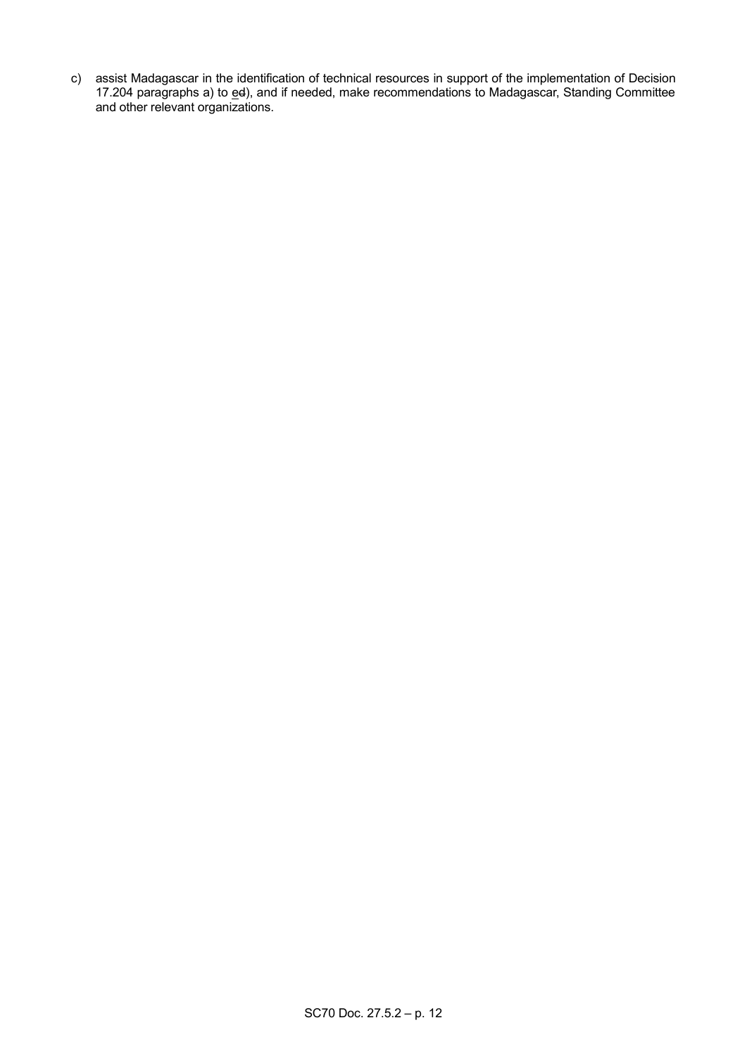c) assist Madagascar in the identification of technical resources in support of the implementation of Decision 17.204 paragraphs a) to ed), and if needed, make recommendations to Madagascar, Standing Committee and other relevant organizations.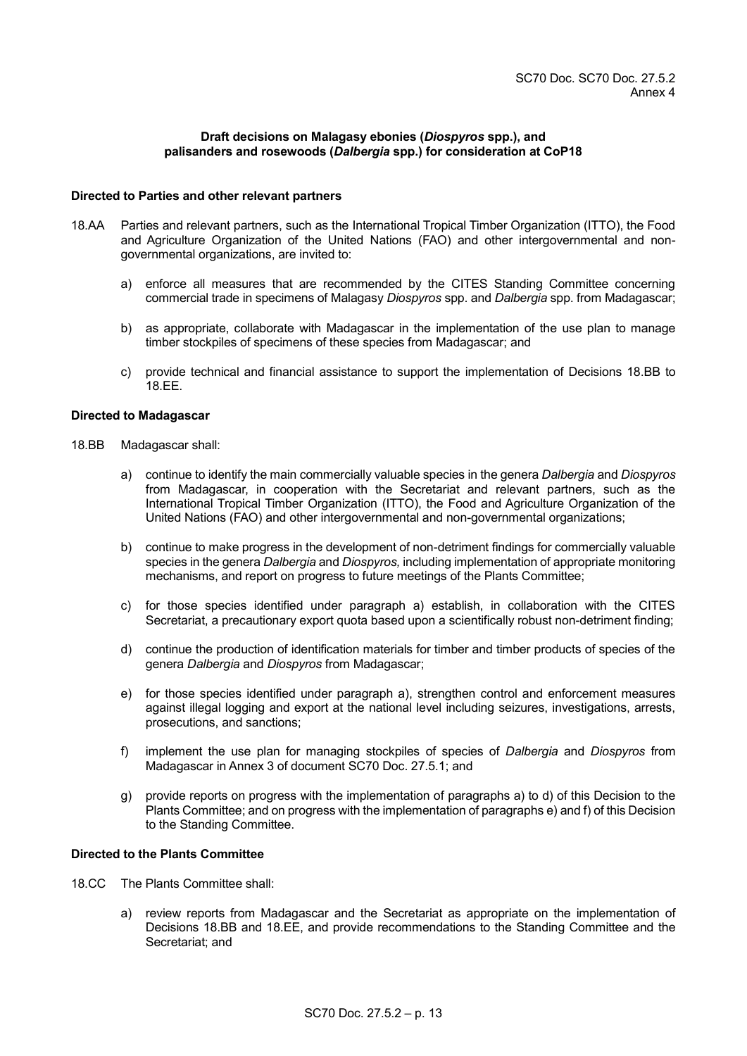## **Draft decisions on Malagasy ebonies (***Diospyros* **spp.), and palisanders and rosewoods (***Dalbergia* **spp.) for consideration at CoP18**

## **Directed to Parties and other relevant partners**

- 18.AA Parties and relevant partners, such as the International Tropical Timber Organization (ITTO), the Food and Agriculture Organization of the United Nations (FAO) and other intergovernmental and nongovernmental organizations, are invited to:
	- a) enforce all measures that are recommended by the CITES Standing Committee concerning commercial trade in specimens of Malagasy *Diospyros* spp. and *Dalbergia* spp. from Madagascar;
	- b) as appropriate, collaborate with Madagascar in the implementation of the use plan to manage timber stockpiles of specimens of these species from Madagascar; and
	- c) provide technical and financial assistance to support the implementation of Decisions 18.BB to 18.EE.

## **Directed to Madagascar**

- 18.BB Madagascar shall:
	- a) continue to identify the main commercially valuable species in the genera *Dalbergia* and *Diospyros* from Madagascar, in cooperation with the Secretariat and relevant partners, such as the International Tropical Timber Organization (ITTO), the Food and Agriculture Organization of the United Nations (FAO) and other intergovernmental and non-governmental organizations;
	- b) continue to make progress in the development of non-detriment findings for commercially valuable species in the genera *Dalbergia* and *Diospyros,* including implementation of appropriate monitoring mechanisms, and report on progress to future meetings of the Plants Committee;
	- c) for those species identified under paragraph a) establish, in collaboration with the CITES Secretariat, a precautionary export quota based upon a scientifically robust non-detriment finding;
	- d) continue the production of identification materials for timber and timber products of species of the genera *Dalbergia* and *Diospyros* from Madagascar;
	- e) for those species identified under paragraph a), strengthen control and enforcement measures against illegal logging and export at the national level including seizures, investigations, arrests, prosecutions, and sanctions;
	- f) implement the use plan for managing stockpiles of species of *Dalbergia* and *Diospyros* from Madagascar in Annex 3 of document SC70 Doc. 27.5.1; and
	- g) provide reports on progress with the implementation of paragraphs a) to d) of this Decision to the Plants Committee; and on progress with the implementation of paragraphs e) and f) of this Decision to the Standing Committee.

## **Directed to the Plants Committee**

- 18.CC The Plants Committee shall:
	- a) review reports from Madagascar and the Secretariat as appropriate on the implementation of Decisions 18.BB and 18.EE, and provide recommendations to the Standing Committee and the Secretariat; and